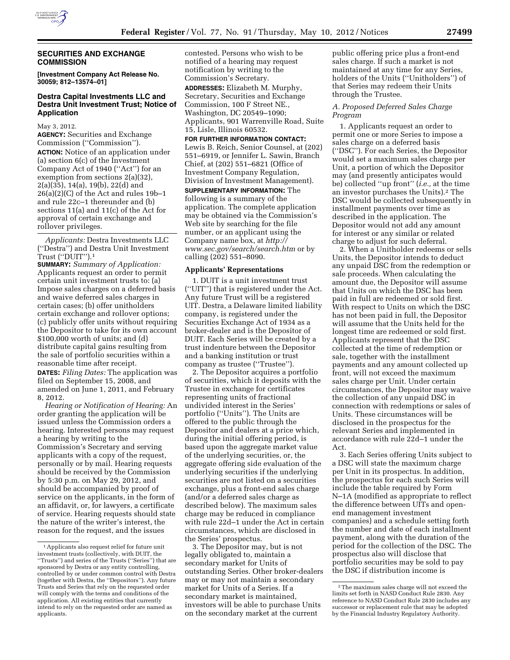

## **SECURITIES AND EXCHANGE COMMISSION**

**[Investment Company Act Release No. 30059; 812–13574–01]** 

## **Destra Capital Investments LLC and Destra Unit Investment Trust; Notice of Application**

May 3, 2012.

**AGENCY:** Securities and Exchange Commission (''Commission''). **ACTION:** Notice of an application under (a) section 6(c) of the Investment Company Act of 1940 (''Act'') for an exemption from sections 2(a)(32), 2(a)(35), 14(a), 19(b), 22(d) and  $26(a)(2)(C)$  of the Act and rules 19b-1 and rule 22c–1 thereunder and (b) sections 11(a) and 11(c) of the Act for approval of certain exchange and rollover privileges.

*Applicants:* Destra Investments LLC (''Destra'') and Destra Unit Investment Trust (''DUIT'').1

**SUMMARY:** *Summary of Application:*  Applicants request an order to permit certain unit investment trusts to: (a) Impose sales charges on a deferred basis and waive deferred sales charges in certain cases; (b) offer unitholders certain exchange and rollover options; (c) publicly offer units without requiring the Depositor to take for its own account \$100,000 worth of units; and (d) distribute capital gains resulting from the sale of portfolio securities within a reasonable time after receipt. **DATES:** *Filing Dates:* The application was

filed on September 15, 2008, and amended on June 1, 2011, and February 8, 2012.

*Hearing or Notification of Hearing:* An order granting the application will be issued unless the Commission orders a hearing. Interested persons may request a hearing by writing to the Commission's Secretary and serving applicants with a copy of the request, personally or by mail. Hearing requests should be received by the Commission by 5:30 p.m. on May 29, 2012, and should be accompanied by proof of service on the applicants, in the form of an affidavit, or, for lawyers, a certificate of service. Hearing requests should state the nature of the writer's interest, the reason for the request, and the issues

contested. Persons who wish to be notified of a hearing may request notification by writing to the Commission's Secretary.

**ADDRESSES:** Elizabeth M. Murphy, Secretary, Securities and Exchange Commission, 100 F Street NE., Washington, DC 20549–1090; Applicants, 901 Warrenville Road, Suite 15, Lisle, Illinois 60532.

### **FOR FURTHER INFORMATION CONTACT:**

Lewis B. Reich, Senior Counsel, at (202) 551–6919, or Jennifer L. Sawin, Branch Chief, at (202) 551–6821 (Office of Investment Company Regulation, Division of Investment Management).

**SUPPLEMENTARY INFORMATION:** The following is a summary of the application. The complete application may be obtained via the Commission's Web site by searching for the file number, or an applicant using the Company name box, at *[http://](http://www.sec.gov/search/search.htm) [www.sec.gov/search/search.htm](http://www.sec.gov/search/search.htm)* or by calling (202) 551–8090.

#### **Applicants' Representations**

1. DUIT is a unit investment trust (''UIT'') that is registered under the Act. Any future Trust will be a registered UIT. Destra, a Delaware limited liability company, is registered under the Securities Exchange Act of 1934 as a broker-dealer and is the Depositor of DUIT. Each Series will be created by a trust indenture between the Depositor and a banking institution or trust company as trustee (''Trustee'').

2. The Depositor acquires a portfolio of securities, which it deposits with the Trustee in exchange for certificates representing units of fractional undivided interest in the Series' portfolio (''Units''). The Units are offered to the public through the Depositor and dealers at a price which, during the initial offering period, is based upon the aggregate market value of the underlying securities, or, the aggregate offering side evaluation of the underlying securities if the underlying securities are not listed on a securities exchange, plus a front-end sales charge (and/or a deferred sales charge as described below). The maximum sales charge may be reduced in compliance with rule 22d–1 under the Act in certain circumstances, which are disclosed in the Series' prospectus.

3. The Depositor may, but is not legally obligated to, maintain a secondary market for Units of outstanding Series. Other broker-dealers may or may not maintain a secondary market for Units of a Series. If a secondary market is maintained, investors will be able to purchase Units on the secondary market at the current

public offering price plus a front-end sales charge. If such a market is not maintained at any time for any Series, holders of the Units (''Unitholders'') of that Series may redeem their Units through the Trustee.

### *A. Proposed Deferred Sales Charge Program*

1. Applicants request an order to permit one or more Series to impose a sales charge on a deferred basis (''DSC''). For each Series, the Depositor would set a maximum sales charge per Unit, a portion of which the Depositor may (and presently anticipates would be) collected ''up front'' (*i.e.,* at the time an investor purchases the Units).2 The DSC would be collected subsequently in installment payments over time as described in the application. The Depositor would not add any amount for interest or any similar or related charge to adjust for such deferral.

2. When a Unitholder redeems or sells Units, the Depositor intends to deduct any unpaid DSC from the redemption or sale proceeds. When calculating the amount due, the Depositor will assume that Units on which the DSC has been paid in full are redeemed or sold first. With respect to Units on which the DSC has not been paid in full, the Depositor will assume that the Units held for the longest time are redeemed or sold first. Applicants represent that the DSC collected at the time of redemption or sale, together with the installment payments and any amount collected up front, will not exceed the maximum sales charge per Unit. Under certain circumstances, the Depositor may waive the collection of any unpaid DSC in connection with redemptions or sales of Units. These circumstances will be disclosed in the prospectus for the relevant Series and implemented in accordance with rule 22d–1 under the Act.

3. Each Series offering Units subject to a DSC will state the maximum charge per Unit in its prospectus. In addition, the prospectus for each such Series will include the table required by Form N–1A (modified as appropriate to reflect the difference between UITs and openend management investment companies) and a schedule setting forth the number and date of each installment payment, along with the duration of the period for the collection of the DSC. The prospectus also will disclose that portfolio securities may be sold to pay the DSC if distribution income is

<sup>1</sup>Applicants also request relief for future unit investment trusts (collectively, with DUIT, the ''Trusts'') and series of the Trusts (''Series'') that are sponsored by Destra or any entity controlling, controlled by or under common control with Destra (together with Destra, the ''Depositors''). Any future Trusts and Series that rely on the requested order will comply with the terms and conditions of the application. All existing entities that currently intend to rely on the requested order are named as applicants.

<sup>2</sup>The maximum sales charge will not exceed the limits set forth in NASD Conduct Rule 2830. Any reference to NASD Conduct Rule 2830 includes any successor or replacement rule that may be adopted by the Financial Industry Regulatory Authority.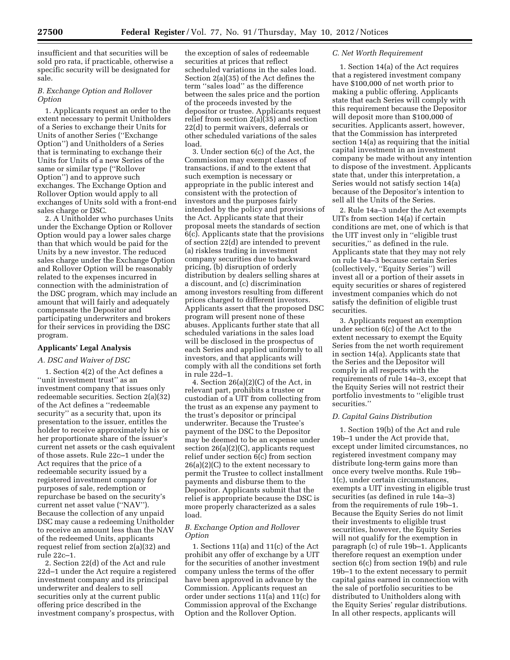insufficient and that securities will be sold pro rata, if practicable, otherwise a specific security will be designated for sale.

## *B. Exchange Option and Rollover Option*

1. Applicants request an order to the extent necessary to permit Unitholders of a Series to exchange their Units for Units of another Series (''Exchange Option'') and Unitholders of a Series that is terminating to exchange their Units for Units of a new Series of the same or similar type (''Rollover Option'') and to approve such exchanges. The Exchange Option and Rollover Option would apply to all exchanges of Units sold with a front-end sales charge or DSC.

2. A Unitholder who purchases Units under the Exchange Option or Rollover Option would pay a lower sales charge than that which would be paid for the Units by a new investor. The reduced sales charge under the Exchange Option and Rollover Option will be reasonably related to the expenses incurred in connection with the administration of the DSC program, which may include an amount that will fairly and adequately compensate the Depositor and participating underwriters and brokers for their services in providing the DSC program.

### **Applicants' Legal Analysis**

#### *A. DSC and Waiver of DSC*

1. Section 4(2) of the Act defines a ''unit investment trust'' as an investment company that issues only redeemable securities. Section 2(a)(32) of the Act defines a ''redeemable security'' as a security that, upon its presentation to the issuer, entitles the holder to receive approximately his or her proportionate share of the issuer's current net assets or the cash equivalent of those assets. Rule 22c–1 under the Act requires that the price of a redeemable security issued by a registered investment company for purposes of sale, redemption or repurchase be based on the security's current net asset value (''NAV''). Because the collection of any unpaid DSC may cause a redeeming Unitholder to receive an amount less than the NAV of the redeemed Units, applicants request relief from section 2(a)(32) and rule 22c–1.

2. Section 22(d) of the Act and rule 22d–1 under the Act require a registered investment company and its principal underwriter and dealers to sell securities only at the current public offering price described in the investment company's prospectus, with

the exception of sales of redeemable securities at prices that reflect scheduled variations in the sales load. Section 2(a)(35) of the Act defines the term ''sales load'' as the difference between the sales price and the portion of the proceeds invested by the depositor or trustee. Applicants request relief from section 2(a)(35) and section 22(d) to permit waivers, deferrals or other scheduled variations of the sales load.

3. Under section 6(c) of the Act, the Commission may exempt classes of transactions, if and to the extent that such exemption is necessary or appropriate in the public interest and consistent with the protection of investors and the purposes fairly intended by the policy and provisions of the Act. Applicants state that their proposal meets the standards of section 6(c). Applicants state that the provisions of section 22(d) are intended to prevent (a) riskless trading in investment company securities due to backward pricing, (b) disruption of orderly distribution by dealers selling shares at a discount, and (c) discrimination among investors resulting from different prices charged to different investors. Applicants assert that the proposed DSC program will present none of these abuses. Applicants further state that all scheduled variations in the sales load will be disclosed in the prospectus of each Series and applied uniformly to all investors, and that applicants will comply with all the conditions set forth in rule 22d–1.

4. Section 26(a)(2)(C) of the Act, in relevant part, prohibits a trustee or custodian of a UIT from collecting from the trust as an expense any payment to the trust's depositor or principal underwriter. Because the Trustee's payment of the DSC to the Depositor may be deemed to be an expense under section 26(a)(2)(C), applicants request relief under section 6(c) from section 26(a)(2)(C) to the extent necessary to permit the Trustee to collect installment payments and disburse them to the Depositor. Applicants submit that the relief is appropriate because the DSC is more properly characterized as a sales load.

### *B. Exchange Option and Rollover Option*

1. Sections 11(a) and 11(c) of the Act prohibit any offer of exchange by a UIT for the securities of another investment company unless the terms of the offer have been approved in advance by the Commission. Applicants request an order under sections 11(a) and 11(c) for Commission approval of the Exchange Option and the Rollover Option.

### *C. Net Worth Requirement*

1. Section 14(a) of the Act requires that a registered investment company have \$100,000 of net worth prior to making a public offering. Applicants state that each Series will comply with this requirement because the Depositor will deposit more than \$100,000 of securities. Applicants assert, however, that the Commission has interpreted section 14(a) as requiring that the initial capital investment in an investment company be made without any intention to dispose of the investment. Applicants state that, under this interpretation, a Series would not satisfy section 14(a) because of the Depositor's intention to sell all the Units of the Series.

2. Rule 14a–3 under the Act exempts UITs from section 14(a) if certain conditions are met, one of which is that the UIT invest only in ''eligible trust securities,'' as defined in the rule. Applicants state that they may not rely on rule 14a–3 because certain Series (collectively, ''Equity Series'') will invest all or a portion of their assets in equity securities or shares of registered investment companies which do not satisfy the definition of eligible trust securities.

3. Applicants request an exemption under section 6(c) of the Act to the extent necessary to exempt the Equity Series from the net worth requirement in section 14(a). Applicants state that the Series and the Depositor will comply in all respects with the requirements of rule 14a–3, except that the Equity Series will not restrict their portfolio investments to ''eligible trust securities.''

## *D. Capital Gains Distribution*

1. Section 19(b) of the Act and rule 19b–1 under the Act provide that, except under limited circumstances, no registered investment company may distribute long-term gains more than once every twelve months. Rule 19b– 1(c), under certain circumstances, exempts a UIT investing in eligible trust securities (as defined in rule 14a–3) from the requirements of rule 19b–1. Because the Equity Series do not limit their investments to eligible trust securities, however, the Equity Series will not qualify for the exemption in paragraph (c) of rule 19b–1. Applicants therefore request an exemption under section 6(c) from section 19(b) and rule 19b–1 to the extent necessary to permit capital gains earned in connection with the sale of portfolio securities to be distributed to Unitholders along with the Equity Series' regular distributions. In all other respects, applicants will